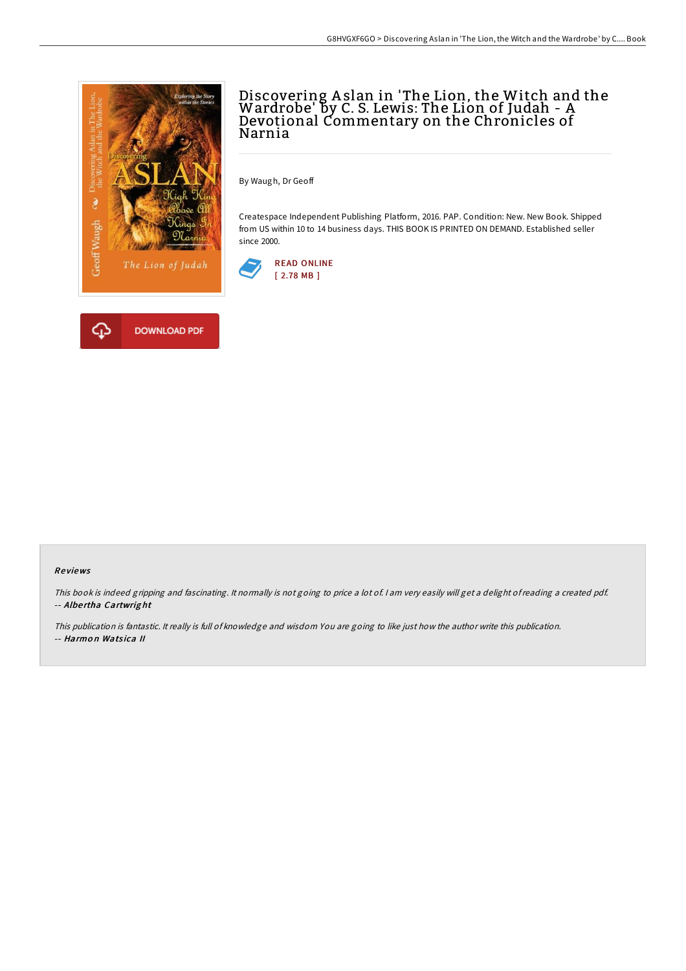

# Discovering A slan in 'The Lion, the Witch and the Wardrobe' by C. S. Lewis: The Lion of Judah - A Devotional Commentary on the Chronicles of Narnia

By Waugh, Dr Geoff

Createspace Independent Publishing Platform, 2016. PAP. Condition: New. New Book. Shipped from US within 10 to 14 business days. THIS BOOK IS PRINTED ON DEMAND. Established seller since 2000.





#### Re views

This book is indeed gripping and fascinating. It normally is not going to price <sup>a</sup> lot of. <sup>I</sup> am very easily will get <sup>a</sup> delight ofreading <sup>a</sup> created pdf. -- Albe rtha Cartwrig ht

This publication is fantastic. It really is full of knowledge and wisdom You are going to like just how the author write this publication. -- Harmon Watsica II